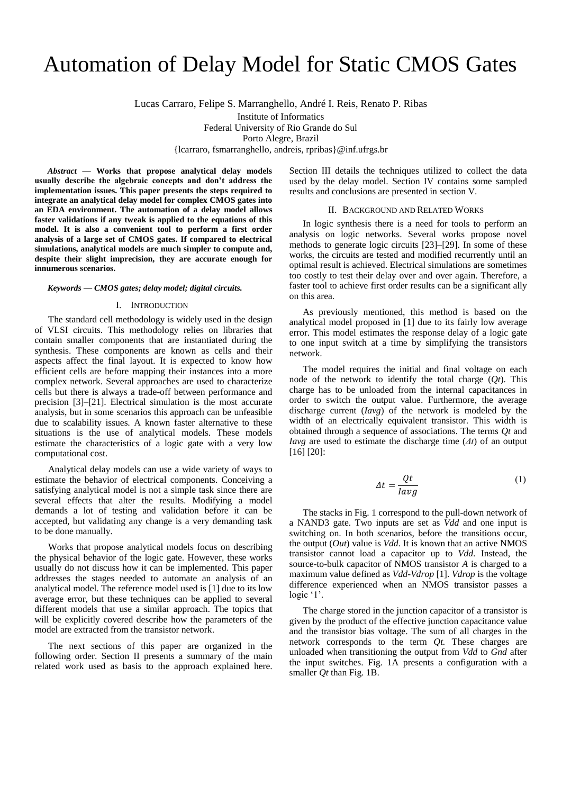# Automation of Delay Model for Static CMOS Gates

Lucas Carraro, Felipe S. Marranghello, André I. Reis, Renato P. Ribas

Institute of Informatics Federal University of Rio Grande do Sul Porto Alegre, Brazil {lcarraro, fsmarranghello, andreis, rpribas}@inf.ufrgs.br

*Abstract* **— Works that propose analytical delay models usually describe the algebraic concepts and don't address the implementation issues. This paper presents the steps required to integrate an analytical delay model for complex CMOS gates into an EDA environment. The automation of a delay model allows faster validations if any tweak is applied to the equations of this model. It is also a convenient tool to perform a first order analysis of a large set of CMOS gates. If compared to electrical simulations, analytical models are much simpler to compute and, despite their slight imprecision, they are accurate enough for innumerous scenarios.**

#### *Keywords — CMOS gates; delay model; digital circuits.*

## I. INTRODUCTION

The standard cell methodology is widely used in the design of VLSI circuits. This methodology relies on libraries that contain smaller components that are instantiated during the synthesis. These components are known as cells and their aspects affect the final layout. It is expected to know how efficient cells are before mapping their instances into a more complex network. Several approaches are used to characterize cells but there is always a trade-off between performance and precision [3]–[21]. Electrical simulation is the most accurate analysis, but in some scenarios this approach can be unfeasible due to scalability issues. A known faster alternative to these situations is the use of analytical models. These models estimate the characteristics of a logic gate with a very low computational cost.

Analytical delay models can use a wide variety of ways to estimate the behavior of electrical components. Conceiving a satisfying analytical model is not a simple task since there are several effects that alter the results. Modifying a model demands a lot of testing and validation before it can be accepted, but validating any change is a very demanding task to be done manually.

Works that propose analytical models focus on describing the physical behavior of the logic gate. However, these works usually do not discuss how it can be implemented. This paper addresses the stages needed to automate an analysis of an analytical model. The reference model used is [1] due to its low average error, but these techniques can be applied to several different models that use a similar approach. The topics that will be explicitly covered describe how the parameters of the model are extracted from the transistor network.

The next sections of this paper are organized in the following order. Section II presents a summary of the main related work used as basis to the approach explained here. Section III details the techniques utilized to collect the data used by the delay model. Section IV contains some sampled results and conclusions are presented in section V.

## II. BACKGROUND AND RELATED WORKS

In logic synthesis there is a need for tools to perform an analysis on logic networks. Several works propose novel methods to generate logic circuits [23]–[29]. In some of these works, the circuits are tested and modified recurrently until an optimal result is achieved. Electrical simulations are sometimes too costly to test their delay over and over again. Therefore, a faster tool to achieve first order results can be a significant ally on this area.

As previously mentioned, this method is based on the analytical model proposed in [1] due to its fairly low average error. This model estimates the response delay of a logic gate to one input switch at a time by simplifying the transistors network.

The model requires the initial and final voltage on each node of the network to identify the total charge  $(Qt)$ . This charge has to be unloaded from the internal capacitances in order to switch the output value. Furthermore, the average discharge current (*Iavg*) of the network is modeled by the width of an electrically equivalent transistor. This width is obtained through a sequence of associations. The terms *Qt* and *Iavg* are used to estimate the discharge time (*Δt*) of an output [16] [20]:

$$
\Delta t = \frac{Qt}{lavg} \tag{1}
$$

The stacks in Fig. 1 correspond to the pull-down network of a NAND3 gate. Two inputs are set as *Vdd* and one input is switching on. In both scenarios, before the transitions occur, the output (*Out*) value is *Vdd*. It is known that an active NMOS transistor cannot load a capacitor up to *Vdd*. Instead, the source-to-bulk capacitor of NMOS transistor *A* is charged to a maximum value defined as *Vdd-Vdrop* [1]. *Vdrop* is the voltage difference experienced when an NMOS transistor passes a logic '1'.

The charge stored in the junction capacitor of a transistor is given by the product of the effective junction capacitance value and the transistor bias voltage. The sum of all charges in the network corresponds to the term *Qt.* These charges are unloaded when transitioning the output from *Vdd* to *Gnd* after the input switches. Fig. 1A presents a configuration with a smaller *Qt* than Fig. 1B.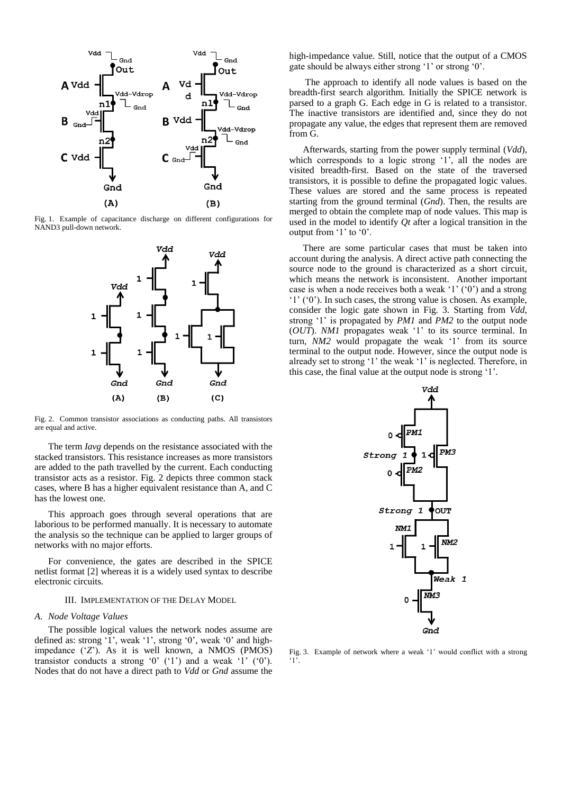

Fig. 1. Example of capacitance discharge on different configurations for NAND3 pull-down network.



Fig. 2. Common transistor associations as conducting paths. All transistors are equal and active.

The term *Iavg* depends on the resistance associated with the stacked transistors. This resistance increases as more transistors are added to the path travelled by the current. Each conducting transistor acts as a resistor. Fig. 2 depicts three common stack cases, where B has a higher equivalent resistance than A, and C has the lowest one.

This approach goes through several operations that are laborious to be performed manually. It is necessary to automate the analysis so the technique can be applied to larger groups of networks with no major efforts.

For convenience, the gates are described in the SPICE netlist format [2] whereas it is a widely used syntax to describe electronic circuits.

#### III. IMPLEMENTATION OF THE DELAY MODEL

## *A. Node Voltage Values*

The possible logical values the network nodes assume are defined as: strong '1', weak '1', strong '0', weak '0' and highimpedance ('*Z*'). As it is well known, a NMOS (PMOS) transistor conducts a strong  $0'$   $(1')$  and a weak  $1'$   $(0')$ . Nodes that do not have a direct path to *Vdd* or *Gnd* assume the

high-impedance value. Still, notice that the output of a CMOS gate should be always either strong '1' or strong '0'.

The approach to identify all node values is based on the breadth-first search algorithm. Initially the SPICE network is parsed to a graph G. Each edge in G is related to a transistor. The inactive transistors are identified and, since they do not propagate any value, the edges that represent them are removed from G.

Afterwards, starting from the power supply terminal (*Vdd*), which corresponds to a logic strong '1', all the nodes are visited breadth-first. Based on the state of the traversed transistors, it is possible to define the propagated logic values. These values are stored and the same process is repeated starting from the ground terminal (*Gnd*). Then, the results are merged to obtain the complete map of node values. This map is used in the model to identify *Qt* after a logical transition in the output from '1' to '0'.

There are some particular cases that must be taken into account during the analysis. A direct active path connecting the source node to the ground is characterized as a short circuit, which means the network is inconsistent. Another important case is when a node receives both a weak '1' ('0') and a strong '1' ('0'). In such cases, the strong value is chosen. As example, consider the logic gate shown in Fig. 3. Starting from *Vdd*, strong '1' is propagated by *PM1* and *PM2* to the output node (*OUT*). *NM1* propagates weak '1' to its source terminal. In turn, *NM2* would propagate the weak '1' from its source terminal to the output node. However, since the output node is already set to strong '1' the weak '1' is neglected. Therefore, in this case, the final value at the output node is strong '1'.



Fig. 3. Example of network where a weak '1' would conflict with a strong '1'.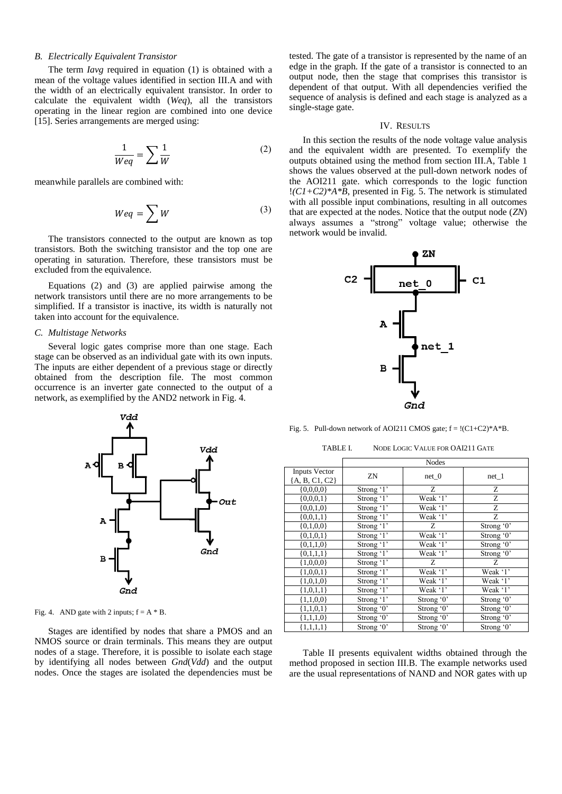## *B. Electrically Equivalent Transistor*

The term *Iavg* required in equation (1) is obtained with a mean of the voltage values identified in section III.A and with the width of an electrically equivalent transistor. In order to calculate the equivalent width (*Weq*), all the transistors operating in the linear region are combined into one device [15]. Series arrangements are merged using:

$$
\frac{1}{Weq} = \sum \frac{1}{W}
$$
 (2)

meanwhile parallels are combined with:

$$
Weq = \sum W \tag{3}
$$

The transistors connected to the output are known as top transistors. Both the switching transistor and the top one are operating in saturation. Therefore, these transistors must be excluded from the equivalence.

Equations (2) and (3) are applied pairwise among the network transistors until there are no more arrangements to be simplified. If a transistor is inactive, its width is naturally not taken into account for the equivalence.

## *C. Multistage Networks*

Several logic gates comprise more than one stage. Each stage can be observed as an individual gate with its own inputs. The inputs are either dependent of a previous stage or directly obtained from the description file. The most common occurrence is an inverter gate connected to the output of a network, as exemplified by the AND2 network in Fig. 4.



Fig. 4. AND gate with 2 inputs;  $f = A * B$ .

Stages are identified by nodes that share a PMOS and an NMOS source or drain terminals. This means they are output nodes of a stage. Therefore, it is possible to isolate each stage by identifying all nodes between *Gnd*(*Vdd*) and the output nodes. Once the stages are isolated the dependencies must be

tested. The gate of a transistor is represented by the name of an edge in the graph. If the gate of a transistor is connected to an output node, then the stage that comprises this transistor is dependent of that output. With all dependencies verified the sequence of analysis is defined and each stage is analyzed as a single-stage gate.

### IV. RESULTS

In this section the results of the node voltage value analysis and the equivalent width are presented. To exemplify the outputs obtained using the method from section III.A, Table 1 shows the values observed at the pull-down network nodes of the AOI211 gate. which corresponds to the logic function !*(C1+C2)\*A\*B*, presented in Fig. 5. The network is stimulated with all possible input combinations, resulting in all outcomes that are expected at the nodes. Notice that the output node (*ZN*) always assumes a "strong" voltage value; otherwise the network would be invalid.



Fig. 5. Pull-down network of AOI211 CMOS gate;  $f = 1(C1+C2)*A*B$ .

TABLE I. NODE LOGIC VALUE FOR OAI211 GATE

|                                        | <b>Nodes</b>      |              |              |
|----------------------------------------|-------------------|--------------|--------------|
| <b>Inputs Vector</b><br>[A, B, C1, C2] | ZN                | $net_0$      | net 1        |
| ${0,0,0,0}$                            | Strong $\cdot$ 1' | Ζ            | Z            |
| ${0,0,0,1}$                            | Strong '1'        | Weak '1'     | Ζ            |
| ${0,0,1,0}$                            | Strong '1'        | Weak '1'     | Ζ            |
| ${0,0,1,1}$                            | Strong '1'        | Weak '1'     | Z            |
| ${0,1,0,0}$                            | Strong '1'        | Z            | Strong $0$ ' |
| ${0,1,0,1}$                            | Strong '1'        | Weak '1'     | Strong '0'   |
| ${0,1,1,0}$                            | Strong '1'        | Weak '1'     | Strong '0'   |
| ${0,1,1,1}$                            | Strong '1'        | Weak '1'     | Strong $0$ ' |
| ${1,0,0,0}$                            | Strong '1'        | Z            | Z            |
| ${1,0,0,1}$                            | Strong $\cdot$ 1' | Weak '1'     | Weak '1'     |
| ${1,0,1,0}$                            | Strong $\cdot$ 1' | Weak '1'     | Weak '1'     |
| ${1,0,1,1}$                            | Strong $\cdot$ 1' | Weak '1'     | Weak '1'     |
| ${1,1,0,0}$                            | Strong $\cdot$ 1' | Strong '0'   | Strong $0$ ' |
| ${1,1,0,1}$                            | Strong $0$ '      | Strong $0$ ' | Strong $0$ ' |
| ${1,1,1,0}$                            | Strong '0'        | Strong '0'   | Strong '0'   |
| ${1,1,1,1}$                            | Strong $0$ '      | Strong '0'   | Strong $0$ ' |

Table II presents equivalent widths obtained through the method proposed in section III.B. The example networks used are the usual representations of NAND and NOR gates with up